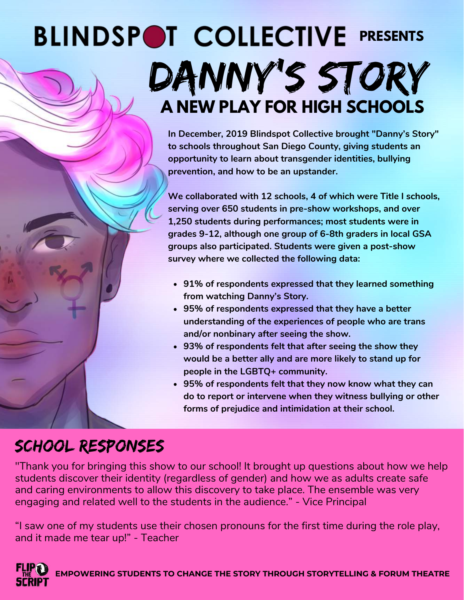## **BLINDSPOT COLLECTIVE PRESENTS** DANNY'S STORY **A NEW PLAY FOR HIGH SCHOOLS**

**In December, 2019 Blindspot Collective brought "Danny's Story" to schools throughout San Diego County, giving students an opportunity to learn about transgender identities, bullying prevention, and how to be an upstander.**

**We collaborated with 12 schools, 4 of which were Title I schools, serving over 650 students in pre-show workshops, and over 1,250 students during performances; most students were in grades 9-12, although one group of 6-8th graders in local GSA groups also participated. Students were given a post-show survey where we collected the following data:**

- **91% of respondents expressed that they learned something from watching Danny's Story.**
- **95% of respondents expressed that they have a better understanding of the experiences of people who are trans and/or nonbinary after seeing the show.**
- **93% of respondents felt that after seeing the show they would be a better ally and are more likely to stand up for people in the LGBTQ+ community.**
- **95% of respondents felt that they now know what they can do to report or intervene when they witness bullying or other forms of prejudice and intimidation at their school.**

## School RESPONSES

"Thank you for bringing this show to our school! It brought up questions about how we help students discover their identity (regardless of gender) and how we as adults create safe and caring environments to allow this discovery to take place. The ensemble was very engaging and related well to the students in the audience." - Vice Principal

"I saw one of my students use their chosen pronouns for the first time during the role play, and it made me tear up!" - Teacher